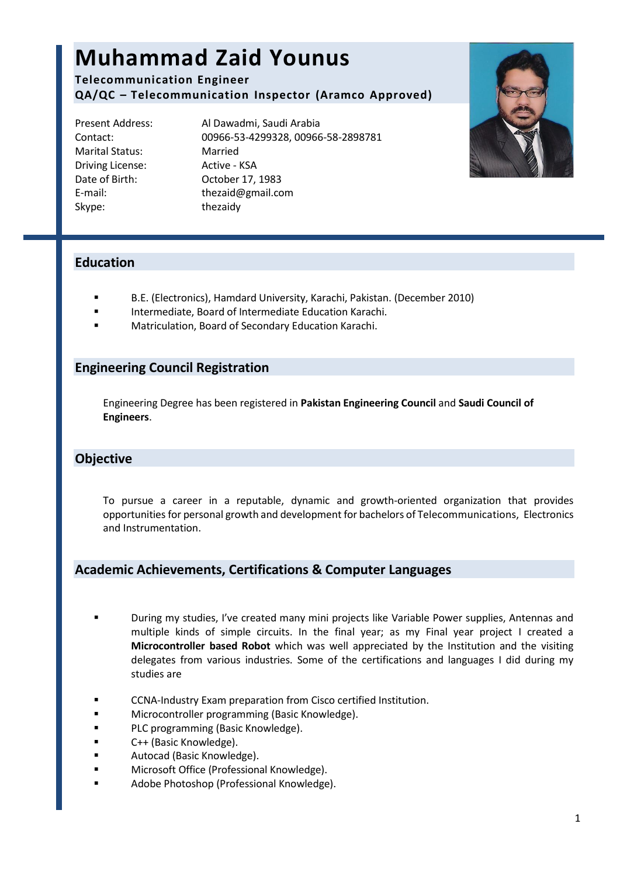# **Muhammad Zaid Younus**

**Telecommunication Engineer QA/QC – Telecommunication Inspector (Aramco Approved)**

Marital Status: Married Driving License: Active - KSA Skype: thezaidy

Present Address: Al Dawadmi, Saudi Arabia Contact: 00966-53-4299328, 00966-58-2898781 Date of Birth: October 17, 1983 E-mail: [thezaid@gmail.com](mailto:thezaid@gmail.com)



# **Education**

- B.E. (Electronics), Hamdard University, Karachi, Pakistan. (December 2010)
- Intermediate, Board of Intermediate Education Karachi.
- Matriculation, Board of Secondary Education Karachi.

## **Engineering Council Registration**

Engineering Degree has been registered in **Pakistan Engineering Council** and **Saudi Council of Engineers**.

# **Objective**

To pursue a career in a reputable, dynamic and growth-oriented organization that provides opportunities for personal growth and development for bachelors of Telecommunications, Electronics and Instrumentation.

# **Academic Achievements, Certifications & Computer Languages**

- During my studies, I've created many mini projects like Variable Power supplies, Antennas and multiple kinds of simple circuits. In the final year; as my Final year project I created a **Microcontroller based Robot** which was well appreciated by the Institution and the visiting delegates from various industries. Some of the certifications and languages I did during my studies are
- **EXECOM-Industry Exam preparation from Cisco certified Institution.**
- **EXECUTE:** Microcontroller programming (Basic Knowledge).
- **PLC programming (Basic Knowledge).**
- C++ (Basic Knowledge).
- **E** Autocad (Basic Knowledge).
- **Nicrosoft Office (Professional Knowledge).**
- Adobe Photoshop (Professional Knowledge).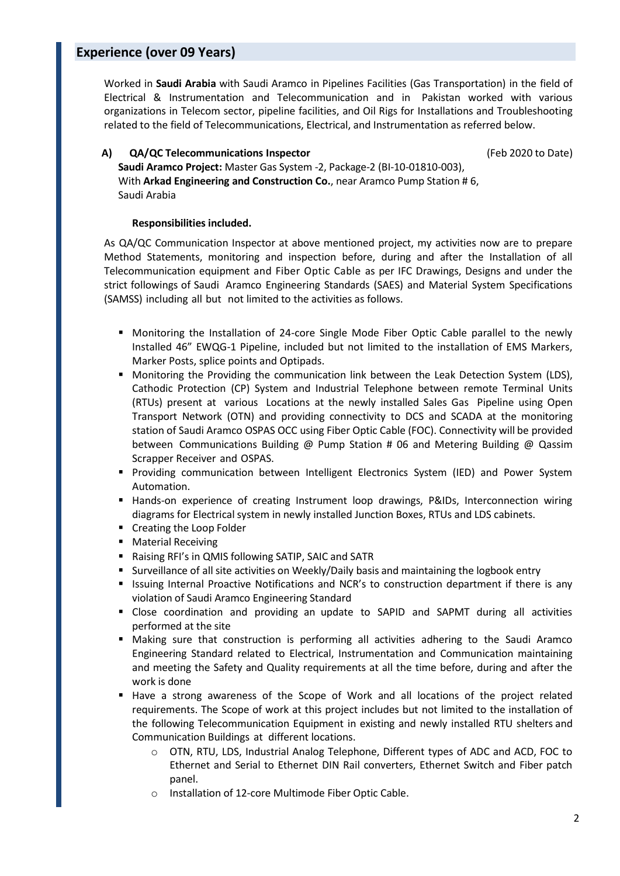# **Experience (over 09 Years)**

Worked in **Saudi Arabia** with Saudi Aramco in Pipelines Facilities (Gas Transportation) in the field of Electrical & Instrumentation and Telecommunication and in Pakistan worked with various organizations in Telecom sector, pipeline facilities, and Oil Rigs for Installations and Troubleshooting related to the field of Telecommunications, Electrical, and Instrumentation as referred below.

#### **A) QA/QC Telecommunications Inspector** (Feb 2020 to Date)

**Saudi Aramco Project:** Master Gas System -2, Package-2 (BI-10-01810-003), With **Arkad Engineering and Construction Co.**, near Aramco Pump Station # 6, Saudi Arabia

#### **Responsibilities included.**

As QA/QC Communication Inspector at above mentioned project, my activities now are to prepare Method Statements, monitoring and inspection before, during and after the Installation of all Telecommunication equipment and Fiber Optic Cable as per IFC Drawings, Designs and under the strict followings of Saudi Aramco Engineering Standards (SAES) and Material System Specifications (SAMSS) including all but not limited to the activities as follows.

- **•** Monitoring the Installation of 24-core Single Mode Fiber Optic Cable parallel to the newly Installed 46" EWQG-1 Pipeline, included but not limited to the installation of EMS Markers, Marker Posts, splice points and Optipads.
- **Monitoring the Providing the communication link between the Leak Detection System (LDS),** Cathodic Protection (CP) System and Industrial Telephone between remote Terminal Units (RTUs) present at various Locations at the newly installed Sales Gas Pipeline using Open Transport Network (OTN) and providing connectivity to DCS and SCADA at the monitoring station of Saudi Aramco OSPAS OCC using Fiber Optic Cable (FOC). Connectivity will be provided between Communications Building @ Pump Station # 06 and Metering Building @ Qassim Scrapper Receiver and OSPAS.
- Providing communication between Intelligent Electronics System (IED) and Power System Automation.
- **Hands-on experience of creating Instrument loop drawings, P&IDs, Interconnection wiring** diagrams for Electrical system in newly installed Junction Boxes, RTUs and LDS cabinets.
- **•** Creating the Loop Folder
- **Material Receiving**
- Raising RFI's in QMIS following SATIP, SAIC and SATR
- **Surveillance of all site activities on Weekly/Daily basis and maintaining the logbook entry**
- **ISSUMB** Internal Proactive Notifications and NCR's to construction department if there is any violation of Saudi Aramco Engineering Standard
- Close coordination and providing an update to SAPID and SAPMT during all activities performed at the site
- Making sure that construction is performing all activities adhering to the Saudi Aramco Engineering Standard related to Electrical, Instrumentation and Communication maintaining and meeting the Safety and Quality requirements at all the time before, during and after the work is done
- Have a strong awareness of the Scope of Work and all locations of the project related requirements. The Scope of work at this project includes but not limited to the installation of the following Telecommunication Equipment in existing and newly installed RTU shelters and Communication Buildings at different locations.
	- o OTN, RTU, LDS, Industrial Analog Telephone, Different types of ADC and ACD, FOC to Ethernet and Serial to Ethernet DIN Rail converters, Ethernet Switch and Fiber patch panel.
	- o Installation of 12-core Multimode Fiber Optic Cable.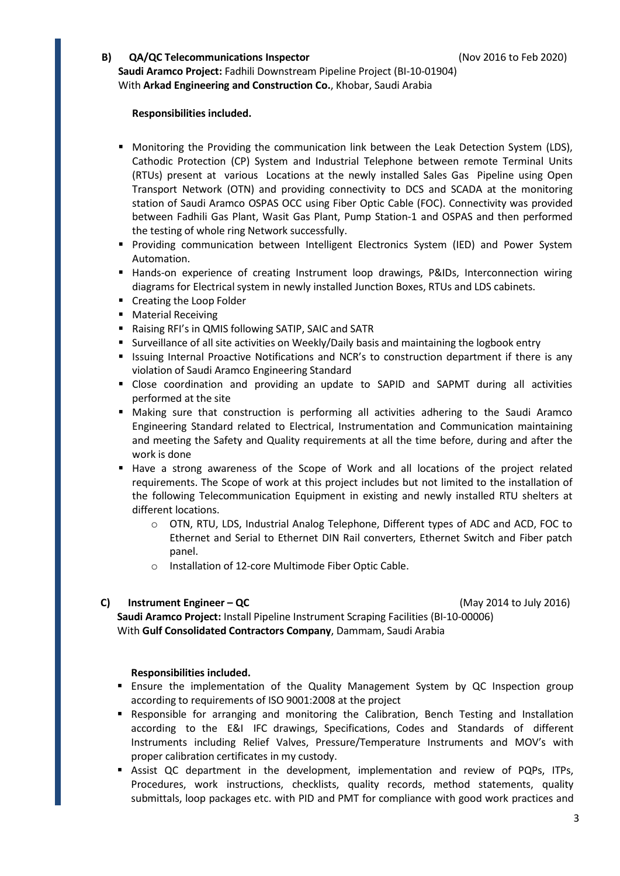#### **B) QA/QC Telecommunications Inspector** (Nov 2016 to Feb 2020)

**Saudi Aramco Project:** Fadhili Downstream Pipeline Project (BI-10-01904) With **Arkad Engineering and Construction Co.**, Khobar, Saudi Arabia

#### **Responsibilities included.**

- **Monitoring the Providing the communication link between the Leak Detection System (LDS),** Cathodic Protection (CP) System and Industrial Telephone between remote Terminal Units (RTUs) present at various Locations at the newly installed Sales Gas Pipeline using Open Transport Network (OTN) and providing connectivity to DCS and SCADA at the monitoring station of Saudi Aramco OSPAS OCC using Fiber Optic Cable (FOC). Connectivity was provided between Fadhili Gas Plant, Wasit Gas Plant, Pump Station-1 and OSPAS and then performed the testing of whole ring Network successfully.
- Providing communication between Intelligent Electronics System (IED) and Power System Automation.
- **Hands-on experience of creating Instrument loop drawings, P&IDs, Interconnection wiring** diagrams for Electrical system in newly installed Junction Boxes, RTUs and LDS cabinets.
- **Creating the Loop Folder**
- **Material Receiving**
- Raising RFI's in QMIS following SATIP, SAIC and SATR
- **Surveillance of all site activities on Weekly/Daily basis and maintaining the logbook entry**
- **In It is a Islams** Internal Proactive Notifications and NCR's to construction department if there is any violation of Saudi Aramco Engineering Standard
- Close coordination and providing an update to SAPID and SAPMT during all activities performed at the site
- Making sure that construction is performing all activities adhering to the Saudi Aramco Engineering Standard related to Electrical, Instrumentation and Communication maintaining and meeting the Safety and Quality requirements at all the time before, during and after the work is done
- Have a strong awareness of the Scope of Work and all locations of the project related requirements. The Scope of work at this project includes but not limited to the installation of the following Telecommunication Equipment in existing and newly installed RTU shelters at different locations.
	- o OTN, RTU, LDS, Industrial Analog Telephone, Different types of ADC and ACD, FOC to Ethernet and Serial to Ethernet DIN Rail converters, Ethernet Switch and Fiber patch panel.
	- o Installation of 12-core Multimode Fiber Optic Cable.

#### **C) Instrument Engineer – QC** (May 2014 to July 2016)

**Saudi Aramco Project:** Install Pipeline Instrument Scraping Facilities (BI-10-00006) With **Gulf Consolidated Contractors Company**, Dammam, Saudi Arabia

#### **Responsibilities included.**

- Ensure the implementation of the Quality Management System by QC Inspection group according to requirements of ISO 9001:2008 at the project
- Responsible for arranging and monitoring the Calibration, Bench Testing and Installation according to the E&I IFC drawings, Specifications, Codes and Standards of different Instruments including Relief Valves, Pressure/Temperature Instruments and MOV's with proper calibration certificates in my custody.
- Assist QC department in the development, implementation and review of PQPs, ITPs, Procedures, work instructions, checklists, quality records, method statements, quality submittals, loop packages etc. with PID and PMT for compliance with good work practices and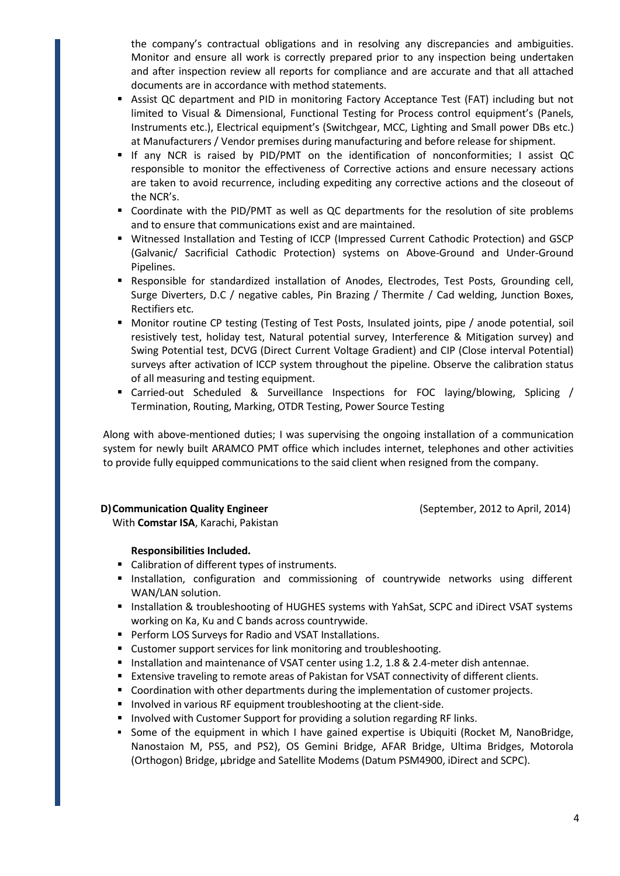the company's contractual obligations and in resolving any discrepancies and ambiguities. Monitor and ensure all work is correctly prepared prior to any inspection being undertaken and after inspection review all reports for compliance and are accurate and that all attached documents are in accordance with method statements.

- Assist QC department and PID in monitoring Factory Acceptance Test (FAT) including but not limited to Visual & Dimensional, Functional Testing for Process control equipment's (Panels, Instruments etc.), Electrical equipment's (Switchgear, MCC, Lighting and Small power DBs etc.) at Manufacturers / Vendor premises during manufacturing and before release for shipment.
- If any NCR is raised by PID/PMT on the identification of nonconformities; I assist QC responsible to monitor the effectiveness of Corrective actions and ensure necessary actions are taken to avoid recurrence, including expediting any corrective actions and the closeout of the NCR's.
- Coordinate with the PID/PMT as well as QC departments for the resolution of site problems and to ensure that communications exist and are maintained.
- Witnessed Installation and Testing of ICCP (Impressed Current Cathodic Protection) and GSCP (Galvanic/ Sacrificial Cathodic Protection) systems on Above-Ground and Under-Ground Pipelines.
- Responsible for standardized installation of Anodes, Electrodes, Test Posts, Grounding cell, Surge Diverters, D.C / negative cables, Pin Brazing / Thermite / Cad welding, Junction Boxes, Rectifiers etc.
- **Monitor routine CP testing (Testing of Test Posts, Insulated joints, pipe / anode potential, soil** resistively test, holiday test, Natural potential survey, Interference & Mitigation survey) and Swing Potential test, DCVG (Direct Current Voltage Gradient) and CIP (Close interval Potential) surveys after activation of ICCP system throughout the pipeline. Observe the calibration status of all measuring and testing equipment.
- Carried-out Scheduled & Surveillance Inspections for FOC laying/blowing, Splicing / Termination, Routing, Marking, OTDR Testing, Power Source Testing

Along with above-mentioned duties; I was supervising the ongoing installation of a communication system for newly built ARAMCO PMT office which includes internet, telephones and other activities to provide fully equipped communications to the said client when resigned from the company.

#### **D) Communication Quality Engineer** (September, 2012 to April, 2014)

With **Comstar ISA**, Karachi, Pakistan

### **Responsibilities Included.**

- Calibration of different types of instruments.
- **Installation, configuration and commissioning of countrywide networks using different** WAN/LAN solution.
- **Installation & troubleshooting of HUGHES systems with YahSat, SCPC and iDirect VSAT systems** working on Ka, Ku and C bands across countrywide.
- **Perform LOS Surveys for Radio and VSAT Installations.**
- Customer support services for link monitoring and troubleshooting.
- Installation and maintenance of VSAT center using 1.2, 1.8 & 2.4-meter dish antennae.
- Extensive traveling to remote areas of Pakistan for VSAT connectivity of different clients.
- Coordination with other departments during the implementation of customer projects.
- **Involved in various RF equipment troubleshooting at the client-side.**
- Involved with Customer Support for providing a solution regarding RF links.
- Some of the equipment in which I have gained expertise is Ubiquiti (Rocket M, NanoBridge, Nanostaion M, PS5, and PS2), OS Gemini Bridge, AFAR Bridge, Ultima Bridges, Motorola (Orthogon) Bridge, µbridge and Satellite Modems (Datum PSM4900, iDirect and SCPC).